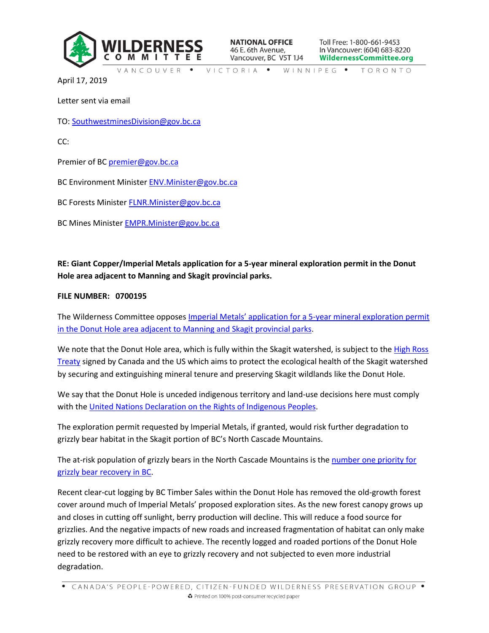

**NATIONAL OFFICE** 46 E. 6th Avenue, Vancouver, BC V5T 1J4 Toll Free: 1-800-661-9453 In Vancouver: (604) 683-8220 **WildernessCommittee.org** 

VANCOUVER • VICTORIA • WINNIPEG • TORONTO

April 17, 2019

Letter sent via email

TO: [SouthwestminesDivision@gov.bc.ca](mailto:SouthwestminesDivision@gov.bc.ca)

CC:

Premier of BC [premier@gov.bc.ca](mailto:premier@gov.bc.ca)

BC Environment Minister [ENV.Minister@gov.bc.ca](mailto:ENV.Minister@gov.bc.ca)

BC Forests Minister [FLNR.Minister@gov.bc.ca](mailto:FLNR.Minister@gov.bc.ca)

BC Mines Minister [EMPR.Minister@gov.bc.ca](mailto:EMPR.Minister@gov.bc.ca)

## **RE: Giant Copper/Imperial Metals application for a 5-year mineral exploration permit in the Donut Hole area adjacent to Manning and Skagit provincial parks.**

## **FILE NUMBER: 0700195**

The Wilderness Committee opposes [Imperial Metals' application for a 5](https://j200.gov.bc.ca/pub/ereferral/download.aspx?PosseObjectId=109995468&ReferralId=109996206&AuthorizationKey=SPAEXTTN)-year mineral exploration permit [in the Donut Hole area adjacent to Manning and Skagit provincial parks.](https://j200.gov.bc.ca/pub/ereferral/download.aspx?PosseObjectId=109995468&ReferralId=109996206&AuthorizationKey=SPAEXTTN)

We note that the Donut Hole area, which is fully within the Skagit watershed, is subject to the High Ross [Treaty](https://skagiteec.org/about/high-ross-treaty/) signed by Canada and the US which aims to protect the ecological health of the Skagit watershed by securing and extinguishing mineral tenure and preserving Skagit wildlands like the Donut Hole.

We say that the Donut Hole is unceded indigenous territory and land-use decisions here must comply with the [United Nations Declaration on the Rights of Indigenous Peoples.](https://www.un.org/development/desa/indigenouspeoples/declaration-on-the-rights-of-indigenous-peoples.html)

The exploration permit requested by Imperial Metals, if granted, would risk further degradation to grizzly bear habitat in the Skagit portion of BC's North Cascade Mountains.

The at-risk population of grizzly bears in the North Cascade Mountains is the [number one priority for](http://www.env.gov.bc.ca/wld/documents/recovery/ncgb_rp0101.pdf)  [grizzly bear recovery in BC.](http://www.env.gov.bc.ca/wld/documents/recovery/ncgb_rp0101.pdf)

Recent clear-cut logging by BC Timber Sales within the Donut Hole has removed the old-growth forest cover around much of Imperial Metals' proposed exploration sites. As the new forest canopy grows up and closes in cutting off sunlight, berry production will decline. This will reduce a food source for grizzlies. And the negative impacts of new roads and increased fragmentation of habitat can only make grizzly recovery more difficult to achieve. The recently logged and roaded portions of the Donut Hole need to be restored with an eye to grizzly recovery and not subjected to even more industrial degradation.